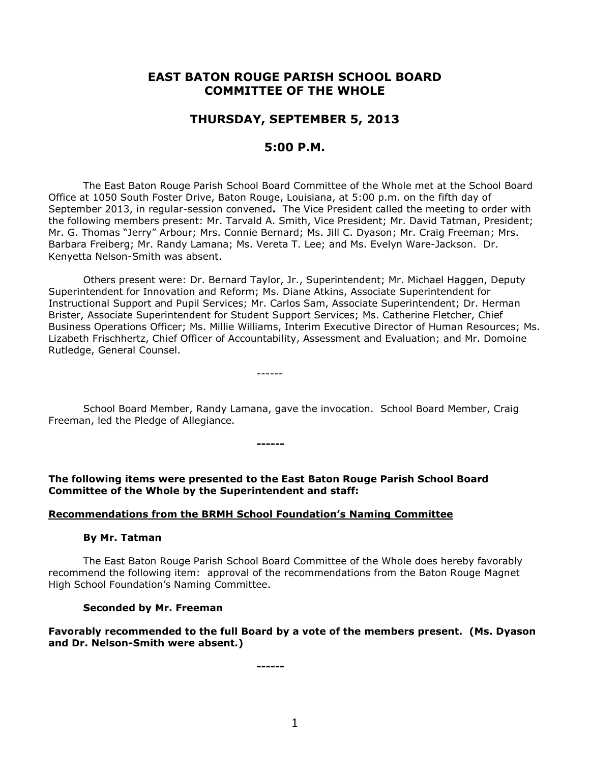# **EAST BATON ROUGE PARISH SCHOOL BOARD COMMITTEE OF THE WHOLE**

# **THURSDAY, SEPTEMBER 5, 2013**

## **5:00 P.M.**

The East Baton Rouge Parish School Board Committee of the Whole met at the School Board Office at 1050 South Foster Drive, Baton Rouge, Louisiana, at 5:00 p.m. on the fifth day of September 2013, in regular-session convened**.** The Vice President called the meeting to order with the following members present: Mr. Tarvald A. Smith, Vice President; Mr. David Tatman, President; Mr. G. Thomas "Jerry" Arbour; Mrs. Connie Bernard; Ms. Jill C. Dyason; Mr. Craig Freeman; Mrs. Barbara Freiberg; Mr. Randy Lamana; Ms. Vereta T. Lee; and Ms. Evelyn Ware-Jackson. Dr. Kenyetta Nelson-Smith was absent.

Others present were: Dr. Bernard Taylor, Jr., Superintendent; Mr. Michael Haggen, Deputy Superintendent for Innovation and Reform; Ms. Diane Atkins, Associate Superintendent for Instructional Support and Pupil Services; Mr. Carlos Sam, Associate Superintendent; Dr. Herman Brister, Associate Superintendent for Student Support Services; Ms. Catherine Fletcher, Chief Business Operations Officer; Ms. Millie Williams, Interim Executive Director of Human Resources; Ms. Lizabeth Frischhertz, Chief Officer of Accountability, Assessment and Evaluation; and Mr. Domoine Rutledge, General Counsel.

School Board Member, Randy Lamana, gave the invocation. School Board Member, Craig Freeman, led the Pledge of Allegiance.

**The following items were presented to the East Baton Rouge Parish School Board Committee of the Whole by the Superintendent and staff:**

**------**

------

#### **Recommendations from the BRMH School Foundation's Naming Committee**

#### **By Mr. Tatman**

The East Baton Rouge Parish School Board Committee of the Whole does hereby favorably recommend the following item: approval of the recommendations from the Baton Rouge Magnet High School Foundation's Naming Committee.

#### **Seconded by Mr. Freeman**

## **Favorably recommended to the full Board by a vote of the members present. (Ms. Dyason and Dr. Nelson-Smith were absent.)**

**------**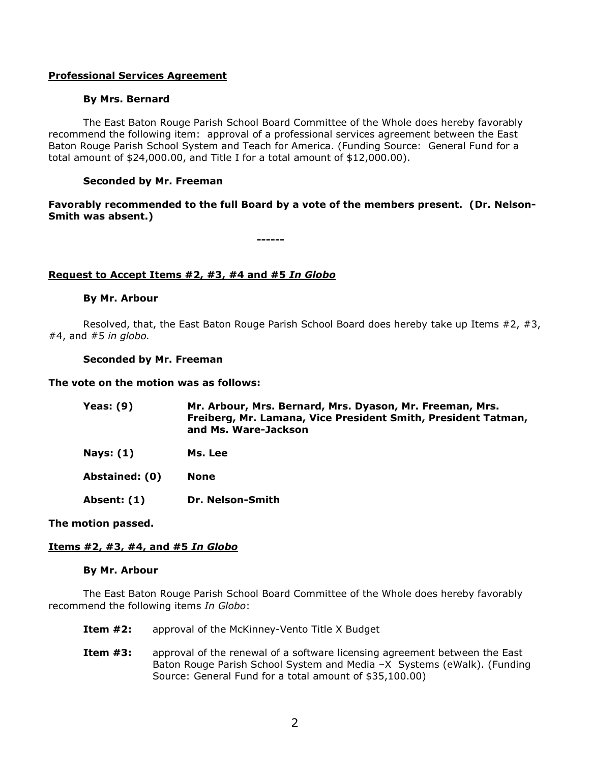## **Professional Services Agreement**

### **By Mrs. Bernard**

The East Baton Rouge Parish School Board Committee of the Whole does hereby favorably recommend the following item: approval of a professional services agreement between the East Baton Rouge Parish School System and Teach for America. (Funding Source: General Fund for a total amount of \$24,000.00, and Title I for a total amount of \$12,000.00).

## **Seconded by Mr. Freeman**

## **Favorably recommended to the full Board by a vote of the members present. (Dr. Nelson-Smith was absent.)**

**------**

### **Request to Accept Items #2, #3, #4 and #5** *In Globo*

#### **By Mr. Arbour**

Resolved, that, the East Baton Rouge Parish School Board does hereby take up Items #2, #3, #4, and #5 *in globo.* 

#### **Seconded by Mr. Freeman**

#### **The vote on the motion was as follows:**

| <b>Yeas: (9)</b>   | Mr. Arbour, Mrs. Bernard, Mrs. Dyason, Mr. Freeman, Mrs.<br>Freiberg, Mr. Lamana, Vice President Smith, President Tatman,<br>and Ms. Ware-Jackson |
|--------------------|---------------------------------------------------------------------------------------------------------------------------------------------------|
| <b>Nays: (1)</b>   | Ms. Lee                                                                                                                                           |
| Abstained: (0)     | <b>None</b>                                                                                                                                       |
| <b>Absent: (1)</b> | Dr. Nelson-Smith                                                                                                                                  |

#### **The motion passed.**

## **Items #2, #3, #4, and #5** *In Globo*

#### **By Mr. Arbour**

The East Baton Rouge Parish School Board Committee of the Whole does hereby favorably recommend the following items *In Globo*:

- **Item #2:** approval of the McKinney-Vento Title X Budget
- **Item #3:** approval of the renewal of a software licensing agreement between the East Baton Rouge Parish School System and Media –X Systems (eWalk). (Funding Source: General Fund for a total amount of \$35,100.00)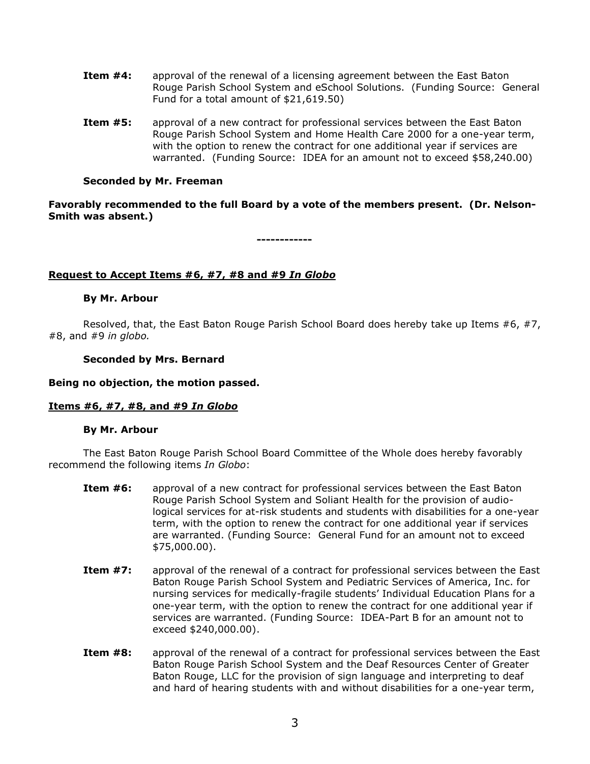- **Item #4:** approval of the renewal of a licensing agreement between the East Baton Rouge Parish School System and eSchool Solutions. (Funding Source: General Fund for a total amount of \$21,619.50)
- **Item #5:** approval of a new contract for professional services between the East Baton Rouge Parish School System and Home Health Care 2000 for a one-year term, with the option to renew the contract for one additional year if services are warranted. (Funding Source: IDEA for an amount not to exceed \$58,240.00)

## **Seconded by Mr. Freeman**

**Favorably recommended to the full Board by a vote of the members present. (Dr. Nelson-Smith was absent.)**

**------------**

### **Request to Accept Items #6, #7, #8 and #9** *In Globo*

#### **By Mr. Arbour**

Resolved, that, the East Baton Rouge Parish School Board does hereby take up Items #6, #7, #8, and #9 *in globo.* 

#### **Seconded by Mrs. Bernard**

#### **Being no objection, the motion passed.**

## **Items #6, #7, #8, and #9** *In Globo*

#### **By Mr. Arbour**

The East Baton Rouge Parish School Board Committee of the Whole does hereby favorably recommend the following items *In Globo*:

- **Item #6:** approval of a new contract for professional services between the East Baton Rouge Parish School System and Soliant Health for the provision of audiological services for at-risk students and students with disabilities for a one-year term, with the option to renew the contract for one additional year if services are warranted. (Funding Source: General Fund for an amount not to exceed \$75,000.00).
- **Item #7:** approval of the renewal of a contract for professional services between the East Baton Rouge Parish School System and Pediatric Services of America, Inc. for nursing services for medically-fragile students' Individual Education Plans for a one-year term, with the option to renew the contract for one additional year if services are warranted. (Funding Source: IDEA-Part B for an amount not to exceed \$240,000.00).
- **Item #8:** approval of the renewal of a contract for professional services between the East Baton Rouge Parish School System and the Deaf Resources Center of Greater Baton Rouge, LLC for the provision of sign language and interpreting to deaf and hard of hearing students with and without disabilities for a one-year term,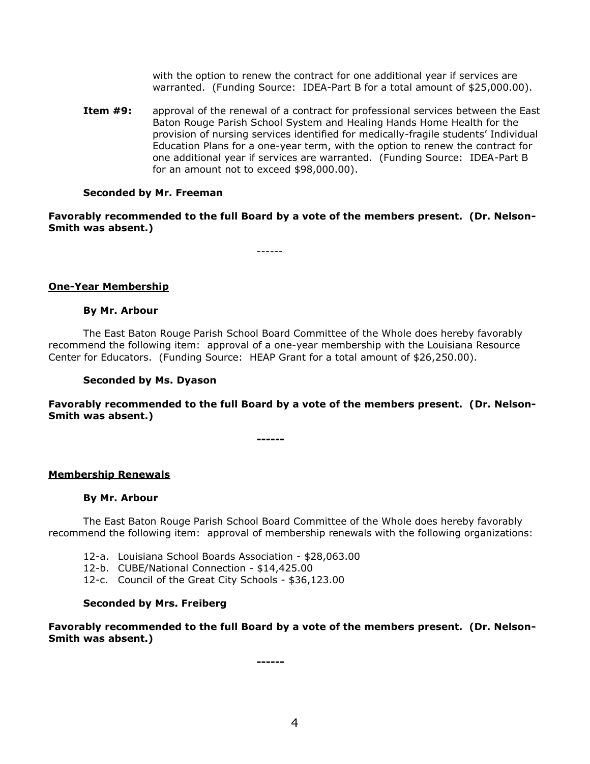with the option to renew the contract for one additional year if services are warranted. (Funding Source: IDEA-Part B for a total amount of \$25,000.00).

**Item #9:** approval of the renewal of a contract for professional services between the East Baton Rouge Parish School System and Healing Hands Home Health for the provision of nursing services identified for medically-fragile students' Individual Education Plans for a one-year term, with the option to renew the contract for one additional year if services are warranted. (Funding Source: IDEA-Part B for an amount not to exceed \$98,000.00).

#### **Seconded by Mr. Freeman**

**Favorably recommended to the full Board by a vote of the members present. (Dr. Nelson-Smith was absent.)**

------

### **One-Year Membership**

## **By Mr. Arbour**

The East Baton Rouge Parish School Board Committee of the Whole does hereby favorably recommend the following item: approval of a one-year membership with the Louisiana Resource Center for Educators. (Funding Source: HEAP Grant for a total amount of \$26,250.00).

#### **Seconded by Ms. Dyason**

**Favorably recommended to the full Board by a vote of the members present. (Dr. Nelson-Smith was absent.)**

**------**

#### **Membership Renewals**

#### **By Mr. Arbour**

The East Baton Rouge Parish School Board Committee of the Whole does hereby favorably recommend the following item: approval of membership renewals with the following organizations:

- 12-a. Louisiana School Boards Association \$28,063.00
- 12-b. CUBE/National Connection \$14,425.00
- 12-c. Council of the Great City Schools \$36,123.00

#### **Seconded by Mrs. Freiberg**

**Favorably recommended to the full Board by a vote of the members present. (Dr. Nelson-Smith was absent.)**

**------**